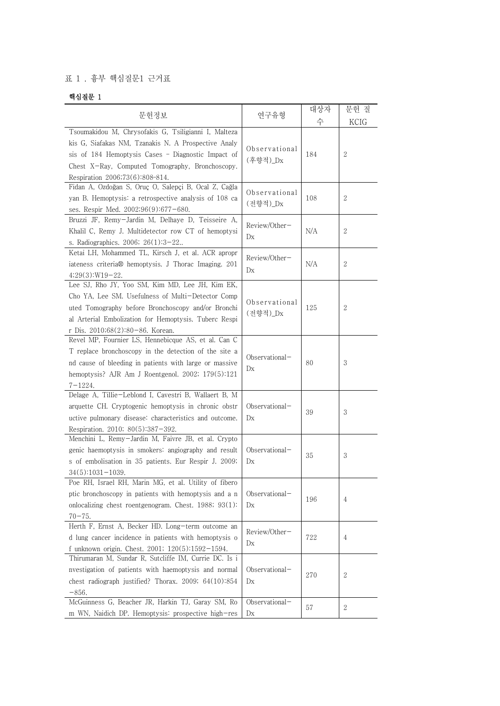## 표 1 . 흉부 핵심질문1 근거표

## 핵심질문 1

|                                                                                                           |                | 대상자 | 문헌 질             |
|-----------------------------------------------------------------------------------------------------------|----------------|-----|------------------|
| 문헌정보                                                                                                      | 연구유형           | 수   | KCIG             |
| Tsoumakidou M, Chrysofakis G, Tsiligianni I, Malteza                                                      |                |     |                  |
| kis G, Siafakas NM, Tzanakis N. A Prospective Analy                                                       |                |     |                  |
| sis of 184 Hemoptysis Cases - Diagnostic Impact of                                                        | Observational  | 184 | 2                |
| Chest X-Ray, Computed Tomography, Bronchoscopy.                                                           | (후향적)_Dx       |     |                  |
| Respiration 2006;73(6):808-814.                                                                           |                |     |                  |
| Fidan A, Ozdoğan S, Oruç O, Salepçi B, Ocal Z, Cağla                                                      |                |     |                  |
| yan B. Hemoptysis: a retrospective analysis of 108 ca                                                     | Observational  | 108 | $\boldsymbol{2}$ |
| ses. Respir Med. 2002;96(9):677-680.                                                                      | (전향적)_Dx       |     |                  |
| Bruzzi JF, Remy-Jardin M, Delhaye D, Teisseire A,                                                         |                |     |                  |
| Khalil C, Remy J. Multidetector row CT of hemoptysi                                                       | Review/Other-  | N/A | 2                |
| s. Radiographics. 2006; 26(1):3-22                                                                        | D <sub>X</sub> |     |                  |
| Ketai LH, Mohammed TL, Kirsch J, et al. ACR apropr                                                        |                |     |                  |
| iateness criteria® hemoptysis. J Thorac Imaging. 201                                                      | Review/Other-  | N/A | 2                |
| $4;29(3):W19-22.$                                                                                         | Dx             |     |                  |
| Lee SJ, Rho JY, Yoo SM, Kim MD, Lee JH, Kim EK,                                                           |                |     |                  |
| Cho YA, Lee SM. Usefulness of Multi-Detector Comp                                                         | Observational  |     |                  |
| uted Tomography before Bronchoscopy and/or Bronchi                                                        | (전향적)_Dx       | 125 | 2                |
| al Arterial Embolization for Hemoptysis. Tuberc Respi                                                     |                |     |                  |
| r Dis. 2010;68(2):80-86. Korean.                                                                          |                |     |                  |
| Revel MP, Fournier LS, Hennebicque AS, et al. Can C                                                       |                |     |                  |
| T replace bronchoscopy in the detection of the site a                                                     | Observational- |     |                  |
| nd cause of bleeding in patients with large or massive                                                    | D <sub>X</sub> | 80  | 3                |
| hemoptysis? AJR Am J Roentgenol. 2002; $179(5):121$                                                       |                |     |                  |
| $7 - 1224.$                                                                                               |                |     |                  |
| Delage A, Tillie-Leblond I, Cavestri B, Wallaert B, M                                                     |                |     |                  |
| arquette CH. Cryptogenic hemoptysis in chronic obstr                                                      | Observational- | 39  | 3                |
| uctive pulmonary disease: characteristics and outcome.                                                    | D <sub>X</sub> |     |                  |
| Respiration. 2010; $80(5):387-392$ .                                                                      |                |     |                  |
| Menchini L, Remy-Jardin M, Faivre JB, et al. Crypto                                                       |                |     |                  |
| genic haemoptysis in smokers: angiography and result                                                      | Observational- | 35  | 3                |
| s of embolisation in 35 patients. Eur Respir J. 2009;                                                     | D <sub>X</sub> |     |                  |
| $34(5):1031-1039.$                                                                                        |                |     |                  |
| Poe RH, Israel RH, Marin MG, et al. Utility of fibero                                                     |                |     |                  |
| ptic bronchoscopy in patients with hemoptysis and a n                                                     | Observational- | 196 | 4                |
| onlocalizing chest roentgenogram. Chest. $1988$ ; $93(1)$ :                                               | D <sub>X</sub> |     |                  |
| $70 - 75.$                                                                                                |                |     |                  |
| Herth F, Ernst A, Becker HD. Long-term outcome an                                                         | Review/Other-  |     |                  |
| d lung cancer incidence in patients with hemoptysis o                                                     | D <sub>X</sub> | 722 | 4                |
| f unknown origin. Chest. 2001; 120(5):1592-1594.<br>Thirumaran M, Sundar R, Sutcliffe IM, Currie DC. Is i |                |     |                  |
| nvestigation of patients with haemoptysis and normal                                                      | Observational- |     |                  |
|                                                                                                           |                | 270 | 2                |
| chest radiograph justified? Thorax. 2009; $64(10):854$                                                    | D <sub>X</sub> |     |                  |
| $-856.$<br>McGuinness G, Beacher JR, Harkin TJ, Garay SM, Ro                                              | Observational- |     |                  |
| m WN, Naidich DP. Hemoptysis: prospective high-res                                                        | D <sub>X</sub> | 57  | $\boldsymbol{2}$ |
|                                                                                                           |                |     |                  |